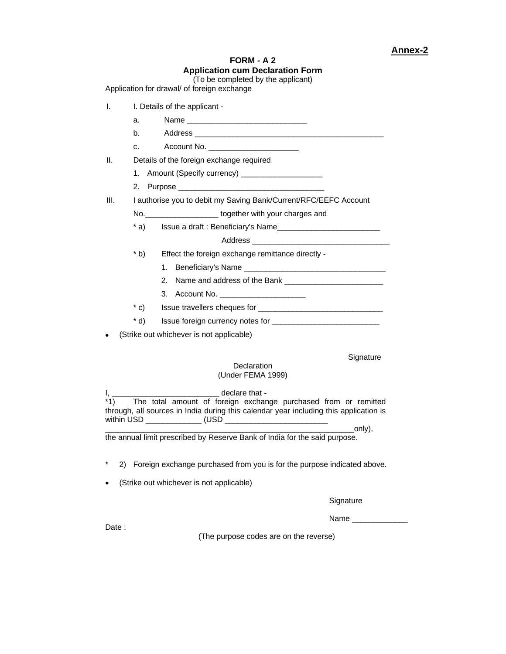## **FORM - A 2 Application cum Declaration Form**  (To be completed by the applicant)

Application for drawal/ of foreign exchange

| I.   |             | I. Details of the applicant -                                    |
|------|-------------|------------------------------------------------------------------|
|      | a.          |                                                                  |
|      | b.          |                                                                  |
|      | C.          | Account No. _________________________                            |
| ΙΙ.  |             | Details of the foreign exchange required                         |
|      | $1_{\cdot}$ |                                                                  |
|      | 2.          |                                                                  |
| III. |             | I authorise you to debit my Saving Bank/Current/RFC/EEFC Account |
|      |             | No. No. No. All together with your charges and                   |
|      | $*$ a)      | Issue a draft: Beneficiary's Name                                |
|      |             |                                                                  |
|      | $*$ b)      | Effect the foreign exchange remittance directly -                |
|      |             |                                                                  |
|      |             | 2 <sup>1</sup>                                                   |
|      |             |                                                                  |
|      | $*$ C)      |                                                                  |
|      | $*$ d)      |                                                                  |
|      |             | (Strike out whichever is not applicable)                         |
|      |             |                                                                  |
|      |             | Signature<br>Declaration                                         |
|      |             |                                                                  |

Declaration (Under FEMA 1999)

I, \_\_\_\_\_\_\_\_\_\_\_\_\_\_\_\_\_\_\_\_\_\_\_\_\_ declare that - The total amount of foreign exchange purchased from or remitted through, all sources in India during this calendar year including this application is within USD \_\_\_\_\_\_\_\_\_\_\_\_\_ (USD \_\_\_\_\_\_\_\_\_\_\_\_\_\_\_\_\_\_\_\_\_\_\_\_

\_\_\_\_\_\_\_\_\_\_\_\_\_\_\_\_\_\_\_\_\_\_\_\_\_\_\_\_\_\_\_\_\_\_\_\_\_\_\_\_\_\_\_\_\_\_\_\_\_\_\_\_\_\_\_\_\_\_only), the annual limit prescribed by Reserve Bank of India for the said purpose.

- \* 2) Foreign exchange purchased from you is for the purpose indicated above.
- (Strike out whichever is not applicable)

**Signature** 

Name \_\_\_\_\_\_\_\_\_\_\_\_\_

Date :

(The purpose codes are on the reverse)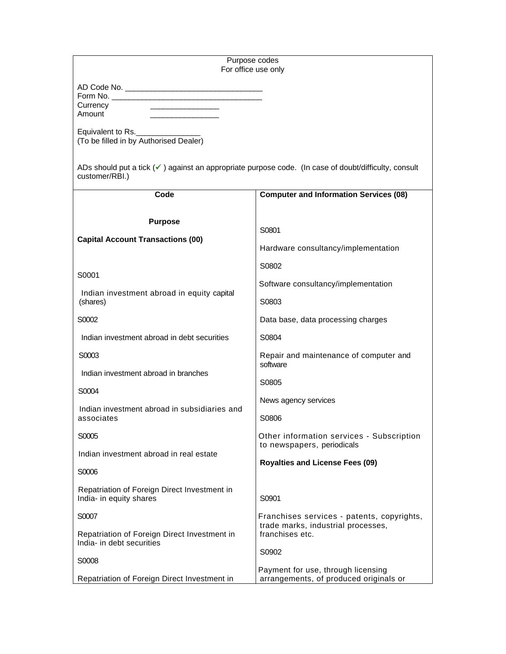## Purpose codes For office use only

| AD Code No. |  |
|-------------|--|
| Form No.    |  |
| Currency    |  |
| Amount      |  |

Equivalent to Rs. (To be filled in by Authorised Dealer)

ADs should put a tick (√) against an appropriate purpose code. (In case of doubt/difficulty, consult customer/RBI.)

| Code                                                                    | <b>Computer and Information Services (08)</b>                                         |
|-------------------------------------------------------------------------|---------------------------------------------------------------------------------------|
| <b>Purpose</b>                                                          | S0801                                                                                 |
| <b>Capital Account Transactions (00)</b>                                | Hardware consultancy/implementation                                                   |
| S0001                                                                   | S0802                                                                                 |
| Indian investment abroad in equity capital                              | Software consultancy/implementation                                                   |
| (shares)                                                                | S0803                                                                                 |
| S0002                                                                   | Data base, data processing charges                                                    |
| Indian investment abroad in debt securities                             | S0804                                                                                 |
| S0003                                                                   | Repair and maintenance of computer and                                                |
| Indian investment abroad in branches                                    | software                                                                              |
| S0004                                                                   | S0805                                                                                 |
| Indian investment abroad in subsidiaries and                            | News agency services                                                                  |
| associates                                                              | S0806                                                                                 |
| S0005                                                                   | Other information services - Subscription                                             |
| Indian investment abroad in real estate                                 | to newspapers, periodicals                                                            |
| S0006                                                                   | <b>Royalties and License Fees (09)</b>                                                |
| Repatriation of Foreign Direct Investment in<br>India- in equity shares | S0901                                                                                 |
| S0007                                                                   | Franchises services - patents, copyrights,                                            |
| Repatriation of Foreign Direct Investment in                            | trade marks, industrial processes,                                                    |
| India- in debt securities                                               | franchises etc.                                                                       |
| S0008<br>Repatriation of Foreign Direct Investment in                   | S0902<br>Payment for use, through licensing<br>arrangements, of produced originals or |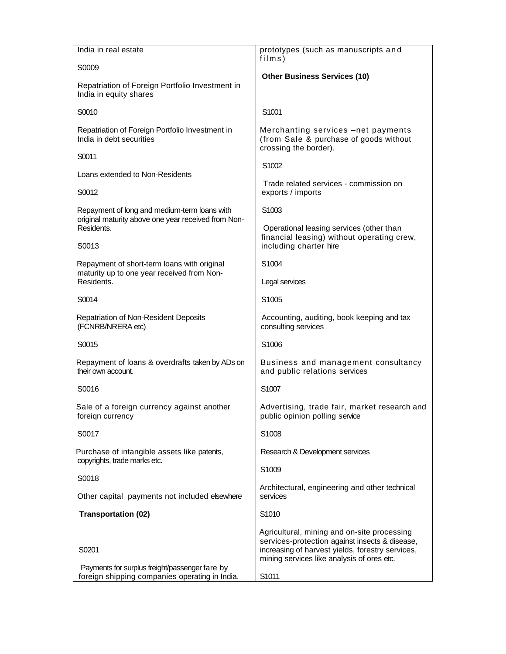| India in real estate                                                                                | prototypes (such as manuscripts and                                                                                                                                                             |
|-----------------------------------------------------------------------------------------------------|-------------------------------------------------------------------------------------------------------------------------------------------------------------------------------------------------|
| S0009                                                                                               | films)<br><b>Other Business Services (10)</b>                                                                                                                                                   |
| Repatriation of Foreign Portfolio Investment in<br>India in equity shares                           |                                                                                                                                                                                                 |
| S0010                                                                                               | S1001                                                                                                                                                                                           |
| Repatriation of Foreign Portfolio Investment in<br>India in debt securities                         | Merchanting services -net payments<br>(from Sale & purchase of goods without<br>crossing the border).                                                                                           |
| S0011                                                                                               | S1002                                                                                                                                                                                           |
| Loans extended to Non-Residents                                                                     | Trade related services - commission on                                                                                                                                                          |
| S0012                                                                                               | exports / imports                                                                                                                                                                               |
| Repayment of long and medium-term loans with<br>original maturity above one year received from Non- | S1003                                                                                                                                                                                           |
| Residents.<br>S0013                                                                                 | Operational leasing services (other than<br>financial leasing) without operating crew,<br>including charter hire                                                                                |
| Repayment of short-term loans with original                                                         | S1004                                                                                                                                                                                           |
| maturity up to one year received from Non-<br>Residents.                                            | Legal services                                                                                                                                                                                  |
| S0014                                                                                               | S1005                                                                                                                                                                                           |
| Repatriation of Non-Resident Deposits<br>(FCNRB/NRERA etc)                                          | Accounting, auditing, book keeping and tax<br>consulting services                                                                                                                               |
| S0015                                                                                               | S1006                                                                                                                                                                                           |
| Repayment of loans & overdrafts taken by ADs on<br>their own account.                               | Business and management consultancy<br>and public relations services                                                                                                                            |
| S0016                                                                                               | S1007                                                                                                                                                                                           |
| Sale of a foreign currency against another<br>foreign currency                                      | Advertising, trade fair, market research and<br>public opinion polling service                                                                                                                  |
| S0017                                                                                               | S1008                                                                                                                                                                                           |
| Purchase of intangible assets like patents,<br>copyrights, trade marks etc.                         | Research & Development services                                                                                                                                                                 |
| S0018                                                                                               | S1009                                                                                                                                                                                           |
| Other capital payments not included elsewhere                                                       | Architectural, engineering and other technical<br>services                                                                                                                                      |
| <b>Transportation (02)</b>                                                                          | S1010                                                                                                                                                                                           |
|                                                                                                     |                                                                                                                                                                                                 |
| S0201                                                                                               | Agricultural, mining and on-site processing<br>services-protection against insects & disease,<br>increasing of harvest yields, forestry services,<br>mining services like analysis of ores etc. |
| Payments for surplus freight/passenger fare by<br>foreign shipping companies operating in India.    | S1011                                                                                                                                                                                           |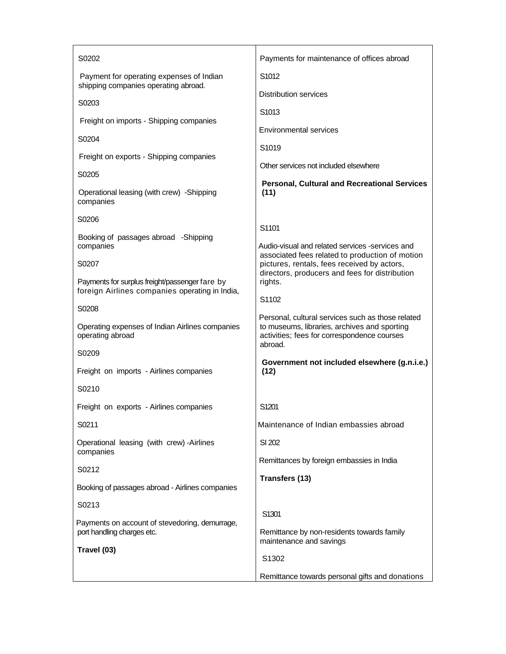| S0202                                                                                            | Payments for maintenance of offices abroad                                                                                                       |
|--------------------------------------------------------------------------------------------------|--------------------------------------------------------------------------------------------------------------------------------------------------|
| Payment for operating expenses of Indian<br>shipping companies operating abroad.                 | S1012                                                                                                                                            |
| S0203                                                                                            | <b>Distribution services</b>                                                                                                                     |
|                                                                                                  | S1013                                                                                                                                            |
| Freight on imports - Shipping companies                                                          | <b>Environmental services</b>                                                                                                                    |
| S0204<br>Freight on exports - Shipping companies                                                 | S <sub>1019</sub>                                                                                                                                |
|                                                                                                  | Other services not included elsewhere                                                                                                            |
| S0205<br>Operational leasing (with crew) -Shipping<br>companies                                  | <b>Personal, Cultural and Recreational Services</b><br>(11)                                                                                      |
| S0206                                                                                            |                                                                                                                                                  |
| Booking of passages abroad -Shipping<br>companies                                                | S1101<br>Audio-visual and related services -services and<br>associated fees related to production of motion                                      |
| S0207                                                                                            | pictures, rentals, fees received by actors,<br>directors, producers and fees for distribution                                                    |
| Payments for surplus freight/passenger fare by<br>foreign Airlines companies operating in India, | rights.                                                                                                                                          |
| S0208                                                                                            | S1102                                                                                                                                            |
| Operating expenses of Indian Airlines companies<br>operating abroad                              | Personal, cultural services such as those related<br>to museums, libraries, archives and sporting<br>activities; fees for correspondence courses |
| S0209                                                                                            | abroad.                                                                                                                                          |
| Freight on imports - Airlines companies                                                          | Government not included elsewhere (g.n.i.e.)<br>(12)                                                                                             |
| S0210                                                                                            |                                                                                                                                                  |
| Freight on exports - Airlines companies                                                          | S1201                                                                                                                                            |
| S0211                                                                                            | Maintenance of Indian embassies abroad                                                                                                           |
| Operational leasing (with crew) -Airlines<br>companies                                           | SI 202                                                                                                                                           |
| S0212                                                                                            | Remittances by foreign embassies in India                                                                                                        |
| Booking of passages abroad - Airlines companies                                                  | Transfers (13)                                                                                                                                   |
| S0213                                                                                            |                                                                                                                                                  |
| Payments on account of stevedoring, demurrage,                                                   | S1301                                                                                                                                            |
| port handling charges etc.<br>Travel (03)                                                        | Remittance by non-residents towards family<br>maintenance and savings                                                                            |
|                                                                                                  | S1302                                                                                                                                            |
|                                                                                                  | Remittance towards personal gifts and donations                                                                                                  |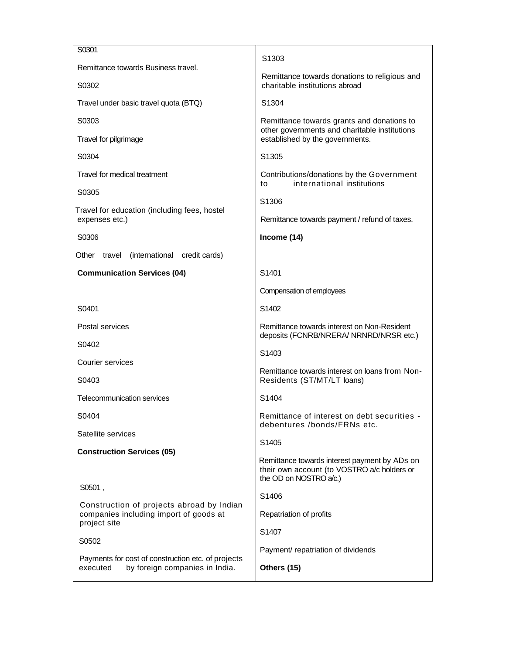| S0301                                                                                            | S <sub>1303</sub>                                                                                                      |
|--------------------------------------------------------------------------------------------------|------------------------------------------------------------------------------------------------------------------------|
| Remittance towards Business travel.<br>S0302                                                     | Remittance towards donations to religious and<br>charitable institutions abroad                                        |
| Travel under basic travel quota (BTQ)                                                            | S <sub>1304</sub>                                                                                                      |
| S0303                                                                                            | Remittance towards grants and donations to                                                                             |
| Travel for pilgrimage                                                                            | other governments and charitable institutions<br>established by the governments.                                       |
| S0304                                                                                            | S <sub>1305</sub>                                                                                                      |
| Travel for medical treatment                                                                     | Contributions/donations by the Government<br>international institutions<br>to                                          |
| S0305                                                                                            | S <sub>1306</sub>                                                                                                      |
| Travel for education (including fees, hostel<br>expenses etc.)                                   | Remittance towards payment / refund of taxes.                                                                          |
| S0306                                                                                            | Income (14)                                                                                                            |
| travel (international credit cards)<br>Other                                                     |                                                                                                                        |
| <b>Communication Services (04)</b>                                                               | S1401                                                                                                                  |
|                                                                                                  | Compensation of employees                                                                                              |
| S0401                                                                                            | S1402                                                                                                                  |
| Postal services                                                                                  | Remittance towards interest on Non-Resident<br>deposits (FCNRB/NRERA/ NRNRD/NRSR etc.)                                 |
| S0402                                                                                            | S1403                                                                                                                  |
| Courier services                                                                                 | Remittance towards interest on loans from Non-                                                                         |
| S0403                                                                                            | Residents (ST/MT/LT loans)                                                                                             |
| Telecommunication services                                                                       | S1404                                                                                                                  |
| S0404                                                                                            | Remittance of interest on debt securities -<br>debentures /bonds/FRNs etc.                                             |
| Satellite services                                                                               | S1405                                                                                                                  |
| <b>Construction Services (05)</b>                                                                | Remittance towards interest payment by ADs on<br>their own account (to VOSTRO a/c holders or<br>the OD on NOSTRO a/c.) |
| S0501,                                                                                           | S1406                                                                                                                  |
| Construction of projects abroad by Indian<br>companies including import of goods at              | Repatriation of profits                                                                                                |
| project site                                                                                     | S1407                                                                                                                  |
| S0502                                                                                            | Payment/ repatriation of dividends                                                                                     |
| Payments for cost of construction etc. of projects<br>by foreign companies in India.<br>executed | Others (15)                                                                                                            |